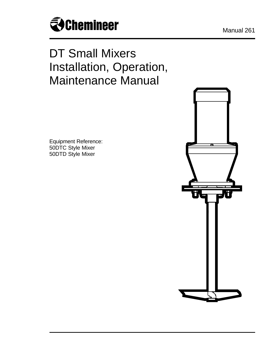

# DT Small Mixers Installation, Operation, Maintenance Manual

Equipment Reference: 50DTC Style Mixer 50DTD Style Mixer

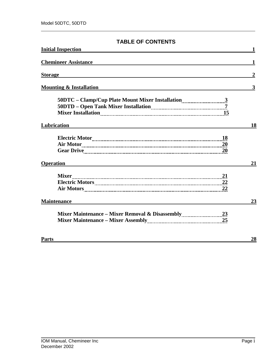## **TABLE OF CONTENTS**

| <b>Initial Inspection</b>          |                  |
|------------------------------------|------------------|
| <b>Chemineer Assistance</b>        | 1                |
| <b>Storage</b>                     | $\boldsymbol{2}$ |
| <b>Mounting &amp; Installation</b> | 3                |
|                                    |                  |
| Lubrication                        | 18               |
| -18                                |                  |
| <b>Operation</b>                   | 21               |
| <b>Mixer</b><br>Air Motors 22      |                  |
| <b>Maintenance</b>                 | 23               |
|                                    |                  |
| <b>Parts</b>                       | 28               |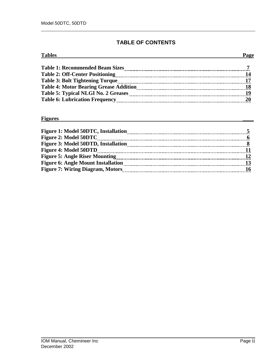# **TABLE OF CONTENTS**

| <b>Tables</b>                                                                                                                                                                                                                  |  |
|--------------------------------------------------------------------------------------------------------------------------------------------------------------------------------------------------------------------------------|--|
| <b>Table 1: Recommended Beam Sizes</b>                                                                                                                                                                                         |  |
| Table 2: Off-Center Positioning [100] [100] [100] [100] [100] [100] [100] [100] [100] [100] [100] [100] [100] [100] [100] [100] [100] [100] [100] [100] [100] [100] [100] [100] [100] [100] [100] [100] [100] [100] [100] [100 |  |
|                                                                                                                                                                                                                                |  |
| <b>Table 4: Motor Bearing Grease Addition</b>                                                                                                                                                                                  |  |
|                                                                                                                                                                                                                                |  |
|                                                                                                                                                                                                                                |  |

#### **Figures \_\_\_\_**

| Figure 1: Model 50DTC, Installation       |  |
|-------------------------------------------|--|
| <b>Figure 2: Model 50DTC</b>              |  |
| Figure 3: Model 50DTD, Installation       |  |
| <b>Figure 4: Model 50DTD</b>              |  |
|                                           |  |
| <b>Figure 6: Angle Mount Installation</b> |  |
| <b>Figure 7: Wiring Diagram, Motors</b>   |  |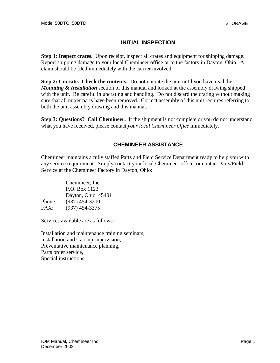## **INITIAL INSPECTION**

**Step 1: Inspect crates.** Upon receipt, inspect all crates and equipment for shipping damage. Report shipping damage to your local Chemineer office or to the factory in Dayton, Ohio. A claim should be filed immediately with the carrier involved.

**Step 2: Uncrate. Check the contents.** Do not uncrate the unit until you have read the *Mounting & Installation* section of this manual and looked at the assembly drawing shipped with the unit. Be careful in uncrating and handling. Do not discard the crating without making sure that all mixer parts have been removed. Correct assembly of this unit requires referring to both the unit assembly drawing and this manual.

**Step 3: Questions? Call Chemineer.** If the shipment is not complete or you do not understand what you have received, please contact *your local Chemineer office* immediately.

## **CHEMINEER ASSISTANCE**

Chemineer maintains a fully staffed Parts and Field Service Department ready to help you with any service requirement. Simply contact your local Chemineer office, or contact Parts/Field Service at the Chemineer Factory in Dayton, Ohio:

|        | Chemineer, Inc.    |
|--------|--------------------|
|        | P.O. Box 1123      |
|        | Dayton, Ohio 45401 |
| Phone: | $(937)$ 454-3200   |
| FAX:   | $(937)$ 454-3375   |

Services available are as follows:

Installation and maintenance training seminars, Installation and start-up supervision, Preventative maintenance planning, Parts order service, Special instructions.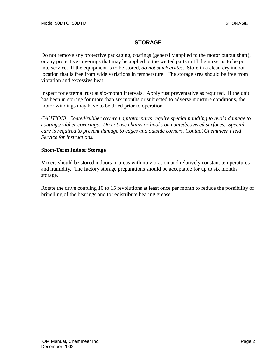# **STORAGE**

Do not remove any protective packaging, coatings (generally applied to the motor output shaft), or any protective coverings that may be applied to the wetted parts until the mixer is to be put into service. If the equipment is to be stored, *do not stack crates*. Store in a clean dry indoor location that is free from wide variations in temperature. The storage area should be free from vibration and excessive heat.

Inspect for external rust at six-month intervals. Apply rust preventative as required. If the unit has been in storage for more than six months or subjected to adverse moisture conditions, the motor windings may have to be dried prior to operation.

*CAUTION! Coated/rubber covered agitator parts require special handling to avoid damage to coatings/rubber coverings. Do not use chains or hooks on coated/covered surfaces. Special care is required to prevent damage to edges and outside corners. Contact Chemineer Field Service for instructions.* 

#### **Short-Term Indoor Storage**

Mixers should be stored indoors in areas with no vibration and relatively constant temperatures and humidity. The factory storage preparations should be acceptable for up to six months storage.

Rotate the drive coupling 10 to 15 revolutions at least once per month to reduce the possibility of brinelling of the bearings and to redistribute bearing grease.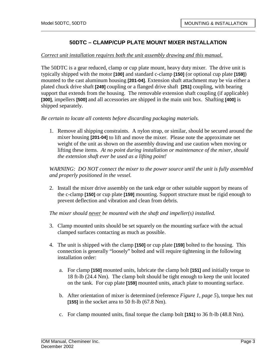#### *Correct unit installation requires both the unit assembly drawing and this manual.*

The 50DTC is a gear reduced, clamp or cup plate mount, heavy duty mixer. The drive unit is typically shipped with the motor **[100]** and standard c-clamp **[150]** (or optional cup plate **[159]**) mounted to the cast aluminum housing **[201-04]**. Extension shaft attachment may be via either a plated chuck drive shaft **[249]** coupling or a flanged drive shaft **[251]** coupling, with bearing support that extends from the housing. The removable extension shaft coupling (if applicable) **[300]**, impellers **[500]** and all accessories are shipped in the main unit box. Shafting **[400]** is shipped separately.

*Be certain to locate all contents before discarding packaging materials.* 

1. Remove all shipping constraints. A nylon strap, or similar, should be secured around the mixer housing **[201-04]** to lift and move the mixer. Please note the approximate net weight of the unit as shown on the assembly drawing and use caution when moving or lifting these items. *At no point during installation or maintenance of the mixer, should the extension shaft ever be used as a lifting point!*

*WARNING: DO NOT connect the mixer to the power source until the unit is fully assembled and properly positioned in the vessel.* 

2. Install the mixer drive assembly on the tank edge or other suitable support by means of the c-clamp **[150]** or cup plate **[159]** mounting. Support structure must be rigid enough to prevent deflection and vibration and clean from debris.

*The mixer should never be mounted with the shaft and impeller(s) installed.*

- 3. Clamp mounted units should be set squarely on the mounting surface with the actual clamped surfaces contacting as much as possible.
- 4. The unit is shipped with the clamp **[150]** or cup plate **[159]** bolted to the housing. This connection is generally "loosely" bolted and will require tightening in the following installation order:
	- a. For clamp **[150]** mounted units, lubricate the clamp bolt **[151]** and initially torque to 18 ft-lb (24.4 Nm). The clamp bolt should be tight enough to keep the unit located on the tank. For cup plate **[159]** mounted units, attach plate to mounting surface.
	- b. After orientation of mixer is determined (reference *Figure 1, page 5*), torque hex nut **[155]** in the socket area to 50 ft-lb (67.8 Nm).
	- c. For clamp mounted units, final torque the clamp bolt **[151]** to 36 ft-lb (48.8 Nm).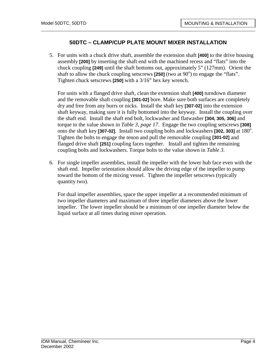5. For units with a chuck drive shaft, assemble the extension shaft **[400]** to the drive housing assembly **[200]** by inserting the shaft end with the machined recess and "flats" into the chuck coupling **[249]** until the shaft bottoms out, approximately 5" (127mm). Orient the shaft to allow the chuck coupling setscrews  $\overline{[250]}$  (two at 90°) to engage the "flats". Tighten chuck setscrews **[250]** with a 3/16" hex key wrench.

For units with a flanged drive shaft, clean the extension shaft **[400]** turndown diameter and the removable shaft coupling **[301-02]** bore. Make sure both surfaces are completely dry and free from any burrs or nicks. Install the shaft key **[307-02]** into the extension shaft keyway, making sure it is fully bottomed into the keyway. Install the coupling over the shaft end. Install the shaft end bolt, lockwasher and flatwasher **[304, 305, 306]** and torque to the value shown in *Table 3, page 17*. Engage the two coupling setscrews **[308]** onto the shaft key [307-02]. Install two coupling bolts and lockwashers [302, 303] at 180<sup>o</sup>. Tighten the bolts to engage the tenon and pull the removable coupling **[301-02]** and flanged drive shaft **[251]** coupling faces together. Install and tighten the remaining coupling bolts and lockwashers. Torque bolts to the value shown in *Table 3*.

6. For single impeller assemblies, install the impeller with the lower hub face even with the shaft end. Impeller orientation should allow the driving edge of the impeller to pump toward the bottom of the mixing vessel. Tighten the impeller setscrews (typically quantity two).

For dual impeller assemblies, space the upper impeller at a recommended minimum of two impeller diameters and maximum of three impeller diameters above the lower impeller. The lower impeller should be a minimum of one impeller diameter below the liquid surface at all times during mixer operation.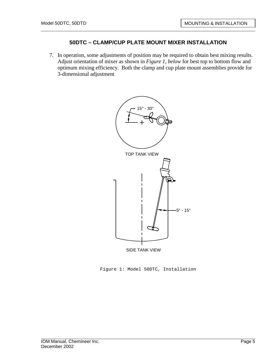7. In operation, some adjustments of position may be required to obtain best mixing results. Adjust orientation of mixer as shown in *Figure 1, below* for best top to bottom flow and optimum mixing efficiency. Both the clamp and cup plate mount assemblies provide for 3-dimensional adjustment



Figure 1: Model 50DTC, Installation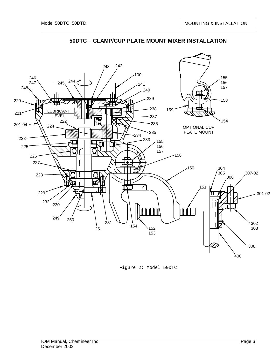

Figure 2: Model 50DTC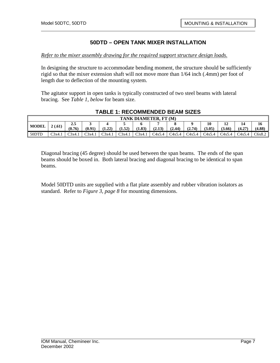#### *Refer to the mixer assembly drawing for the required support structure design loads.*

In designing the structure to accommodate bending moment, the structure should be sufficiently rigid so that the mixer extension shaft will not move more than 1/64 inch (.4mm) per foot of length due to deflection of the mounting system.

The agitator support in open tanks is typically constructed of two steel beams with lateral bracing. See *Table 1, below* for beam size.

| TANK DIAMETER, FT (M) |        |                   |        |        |        |        |        |             |        |              |              |        |              |
|-----------------------|--------|-------------------|--------|--------|--------|--------|--------|-------------|--------|--------------|--------------|--------|--------------|
| <b>MODEL</b>          | 2(.61) | $2.5\,$<br>(0.76) | (0.91) | (1.22) | (1.52) | (1.83) | (2.13) | ⊶<br>(2.44) | (2.74) | 10<br>(3.05) | ┸┵<br>(3.66) | (4.27) | 16<br>(4.88) |
| 50DTD                 | C3x4.  | C3x4.1            | C3x4.1 | C3x4.1 | C3x4.1 | C3x4.1 | C4x5.4 | C4x5.4      | C4x5.4 | C4x5.4       | C4x5.4       | C4x5.4 | C6x8.2       |

#### **TABLE 1: RECOMMENDED BEAM SIZES**

Diagonal bracing (45 degree) should be used between the span beams. The ends of the span beams should be boxed in. Both lateral bracing and diagonal bracing to be identical to span beams.

Model 50DTD units are supplied with a flat plate assembly and rubber vibration isolators as standard. Refer to *Figure 3, page 8* for mounting dimensions.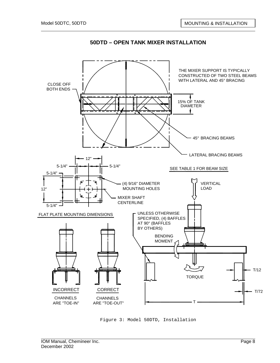

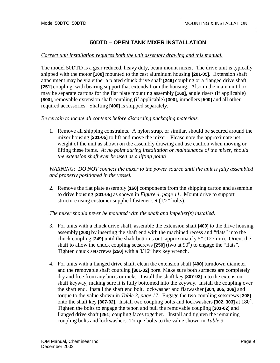#### *Correct unit installation requires both the unit assembly drawing and this manual.*

The model 50DTD is a gear reduced, heavy duty, beam mount mixer. The drive unit is typically shipped with the motor **[100]** mounted to the cast aluminum housing **[201-05]**. Extension shaft attachment may be via either a plated chuck drive shaft **[249]** coupling or a flanged drive shaft **[251]** coupling, with bearing support that extends from the housing. Also in the main unit box may be separate cartons for the flat plate mounting assembly **[160]**, angle risers (if applicable) **[800]**, removable extension shaft coupling (if applicable) **[300]**, impellers **[500]** and all other required accessories. Shafting **[400]** is shipped separately.

*Be certain to locate all contents before discarding packaging materials.* 

1. Remove all shipping constraints. A nylon strap, or similar, should be secured around the mixer housing **[201-05]** to lift and move the mixer. Please note the approximate net weight of the unit as shown on the assembly drawing and use caution when moving or lifting these items. *At no point during installation or maintenance of the mixer, should the extension shaft ever be used as a lifting point!*

*WARNING: DO NOT connect the mixer to the power source until the unit is fully assembled and properly positioned in the vessel.* 

2. Remove the flat plate assembly **[160]** components from the shipping carton and assemble to drive housing **[201-05]** as shown in *Figure 4, page 11.* Mount drive to support structure using customer supplied fastener set (1/2" bolts).

*The mixer should never be mounted with the shaft and impeller(s) installed.*

- 3. For units with a chuck drive shaft, assemble the extension shaft **[400]** to the drive housing assembly **[200]** by inserting the shaft end with the machined recess and "flats" into the chuck coupling **[249]** until the shaft bottoms out, approximately 5" (127mm). Orient the shaft to allow the chuck coupling setscrews  $[250]$  (two at  $90^\circ$ ) to engage the "flats". Tighten chuck setscrews **[250]** with a 3/16" hex key wrench.
- 4. For units with a flanged drive shaft, clean the extension shaft **[400]** turndown diameter and the removable shaft coupling **[301-02]** bore. Make sure both surfaces are completely dry and free from any burrs or nicks. Install the shaft key **[307-02]** into the extension shaft keyway, making sure it is fully bottomed into the keyway. Install the coupling over the shaft end. Install the shaft end bolt, lockwasher and flatwasher **[304, 305, 306]** and torque to the value shown in *Table 3, page 17*. Engage the two coupling setscrews **[308]** onto the shaft key [307-02]. Install two coupling bolts and lockwashers [302, 303] at 180<sup>o</sup>. Tighten the bolts to engage the tenon and pull the removable coupling **[301-02]** and flanged drive shaft **[251]** coupling faces together. Install and tighten the remaining coupling bolts and lockwashers. Torque bolts to the value shown in *Table 3*.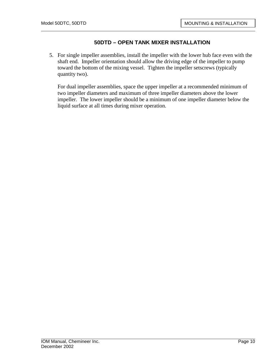5. For single impeller assemblies, install the impeller with the lower hub face even with the shaft end. Impeller orientation should allow the driving edge of the impeller to pump toward the bottom of the mixing vessel. Tighten the impeller setscrews (typically quantity two).

For dual impeller assemblies, space the upper impeller at a recommended minimum of two impeller diameters and maximum of three impeller diameters above the lower impeller. The lower impeller should be a minimum of one impeller diameter below the liquid surface at all times during mixer operation.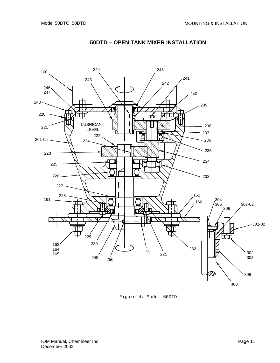

Figure 4: Model 50DTD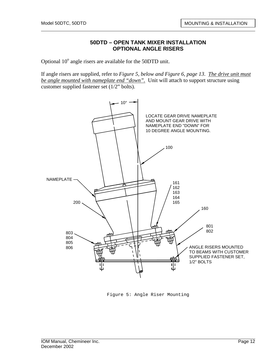#### **50DTD – OPEN TANK MIXER INSTALLATION OPTIONAL ANGLE RISERS**

Optional  $10^{\circ}$  angle risers are available for the 50DTD unit.

If angle risers are supplied, refer to *Figure 5, below and Figure 6, page 13*. *The drive unit must be angle mounted with nameplate end "down".* Unit will attach to support structure using customer supplied fastener set (1/2" bolts).



Figure 5: Angle Riser Mounting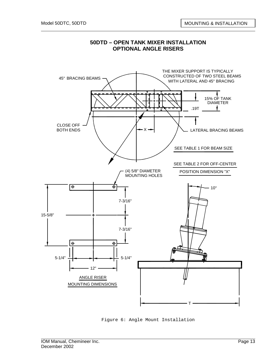

#### **50DTD – OPEN TANK MIXER INSTALLATION OPTIONAL ANGLE RISERS**

Figure 6: Angle Mount Installation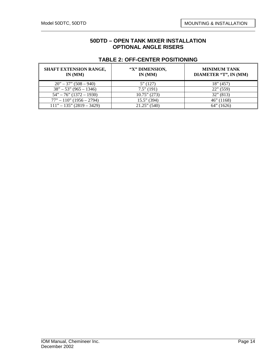#### **50DTD – OPEN TANK MIXER INSTALLATION OPTIONAL ANGLE RISERS**

| <b>SHAFT EXTENSION RANGE,</b><br>IN $(MM)$ | "X" DIMENSION,<br>IN(MM) | <b>MINIMUM TANK</b><br>DIAMETER "T", IN (MM) |
|--------------------------------------------|--------------------------|----------------------------------------------|
| $20" - 37" (508 - 940)$                    | 5''(127)                 | $18$ " (457)                                 |
| $38" - 53" (965 - 1346)$                   | $7.5$ " (191)            | $22$ " (559)                                 |
| $54" - 76" (1372 - 1930)$                  | $10.75$ " (273)          | $32$ " (813)                                 |
| $77" - 110"$ (1956 – 2794)                 | $15.5$ " (394)           | $46$ " (1168)                                |
| $111" - 135" (2819 - 3429)$                | $21.25$ " (540)          | 64"<br>(1626)                                |

#### **TABLE 2: OFF-CENTER POSITIONING**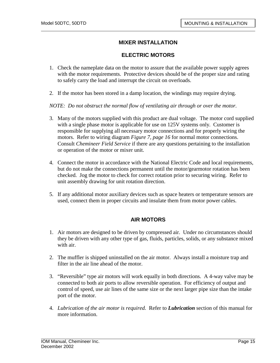## **MIXER INSTALLATION**

#### **ELECTRIC MOTORS**

- 1. Check the nameplate data on the motor to assure that the available power supply agrees with the motor requirements. Protective devices should be of the proper size and rating to safely carry the load and interrupt the circuit on overloads.
- 2. If the motor has been stored in a damp location, the windings may require drying.

*NOTE: Do not obstruct the normal flow of ventilating air through or over the motor.* 

- 3. Many of the motors supplied with this product are dual voltage. The motor cord supplied with a single phase motor is applicable for use on 125V systems only. Customer is responsible for supplying all necessary motor connections and for properly wiring the motors. Refer to wiring diagram *Figure 7, page 16* for normal motor connections. Consult *Chemineer Field Service* if there are any questions pertaining to the installation or operation of the motor or mixer unit.
- 4. Connect the motor in accordance with the National Electric Code and local requirements, but do not make the connections permanent until the motor/gearmotor rotation has been checked. Jog the motor to check for correct rotation prior to securing wiring. Refer to unit assembly drawing for unit rotation direction.
- 5. If any additional motor auxiliary devices such as space heaters or temperature sensors are used, connect them in proper circuits and insulate them from motor power cables.

## **AIR MOTORS**

- 1. Air motors are designed to be driven by compressed air. Under no circumstances should they be driven with any other type of gas, fluids, particles, solids, or any substance mixed with air.
- 2. The muffler is shipped uninstalled on the air motor. Always install a moisture trap and filter in the air line ahead of the motor.
- 3. "Reversible" type air motors will work equally in both directions. A 4-way valve may be connected to both air ports to allow reversible operation. For efficiency of output and control of speed, use air lines of the same size or the next larger pipe size than the intake port of the motor.
- 4. *Lubrication of the air motor is required.* Refer to *Lubrication* section of this manual for more information.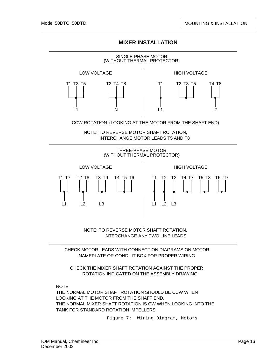## **MIXER INSTALLATION**



NAMEPLATE OR CONDUIT BOX FOR PROPER WIRING

CHECK THE MIXER SHAFT ROTATION AGAINST THE PROPER ROTATION INDICATED ON THE ASSEMBLY DRAWING

NOTE:

THE NORMAL MOTOR SHAFT ROTATION SHOULD BE CCW WHEN LOOKING AT THE MOTOR FROM THE SHAFT END. THE NORMAL MIXER SHAFT ROTATION IS CW WHEN LOOKING INTO THE TANK FOR STANDARD ROTATION IMPELLERS.

Figure 7: Wiring Diagram, Motors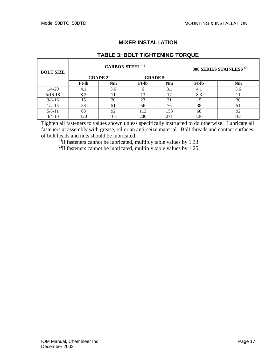## **MIXER INSTALLATION**

## **TABLE 3: BOLT TIGHTENING TORQUE**

| <b>BOLT SIZE</b> | <b>CARBON STEEL (1)</b> |                |                |     |              | 300 SERIES STAINLESS <sup>(2)</sup> |
|------------------|-------------------------|----------------|----------------|-----|--------------|-------------------------------------|
|                  |                         | <b>GRADE 2</b> | <b>GRADE 5</b> |     |              |                                     |
|                  | <b>Ft-lb</b>            | Nm             | <b>Ft-lb</b>   | Nm  | <b>Ft-lb</b> | Nm                                  |
| $1/4 - 20$       | 4.1                     | 5.6            |                | 8.1 | 4.1          | 5.6                                 |
| $5/16-18$        | 8.3                     |                | 13             | 17  | 8.3          |                                     |
| $3/8 - 16$       | 15                      | 20             | 23             | 31  | 15           | 20                                  |
| $1/2 - 13$       | 38                      | 51             | 56             | 76  | 38           | 51                                  |
| $5/8 - 11$       | 68                      | 92             | 113            | 153 | 68           | 92                                  |
| $3/4 - 10$       | 120                     | 163            | 200            | 271 | 120          | 163                                 |

Tighten all fasteners to values shown unless specifically instructed to do otherwise. Lubricate all fasteners at assembly with grease, oil or an anti-seize material. Bolt threads and contact surfaces of bolt heads and nuts should be lubricated.

 $^{(1)}$ If fasteners cannot be lubricated, multiply table values by 1.33.

<sup>(2)</sup>If fasteners cannot be lubricated, multiply table values by 1.25.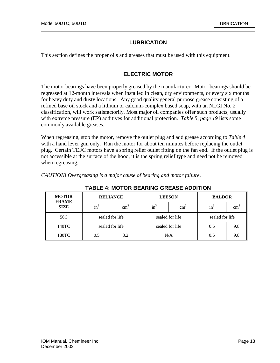# **LUBRICATION**

This section defines the proper oils and greases that must be used with this equipment.

## **ELECTRIC MOTOR**

The motor bearings have been properly greased by the manufacturer. Motor bearings should be regreased at 12-month intervals when installed in clean, dry environments, or every six months for heavy duty and dusty locations. Any good quality general purpose grease consisting of a refined base oil stock and a lithium or calcium-complex based soap, with an NLGI No. 2 classification, will work satisfactorily. Most major oil companies offer such products, usually with extreme pressure (EP) additives for additional protection. *Table 5, page 19* lists some commonly available greases.

When regreasing, stop the motor, remove the outlet plug and add grease according to *Table 4*  with a hand lever gun only. Run the motor for about ten minutes before replacing the outlet plug. Certain TEFC motors have a spring relief outlet fitting on the fan end. If the outlet plug is not accessible at the surface of the hood, it is the spring relief type and need not be removed when regreasing.

**TABLE 4: MOTOR BEARING GREASE ADDITION** 

| <b>MOTOR</b><br><b>FRAME</b> | <b>RELIANCE</b> |                 | <b>LEESON</b> |                 | <b>BALDOR</b>   |                 |
|------------------------------|-----------------|-----------------|---------------|-----------------|-----------------|-----------------|
| <b>SIZE</b>                  | $\text{in}^3$   | $\text{cm}^3$   | $in^3$        | $\text{cm}^3$   | $in^3$          | cm <sup>3</sup> |
| 56C                          | sealed for life |                 |               | sealed for life | sealed for life |                 |
| 140TC                        |                 | sealed for life |               | sealed for life | 0.6             | 9.8             |
| 180TC                        | 0.5             | 8.2             | N/A           |                 | 0.6             | 9.8             |

*CAUTION! Overgreasing is a major cause of bearing and motor failure.*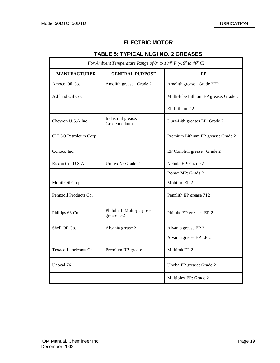# **ELECTRIC MOTOR**

# **TABLE 5: TYPICAL NLGI NO. 2 GREASES**

| For Ambient Temperature Range of $0^{\circ}$ to $104^{\circ}$ F (-18° to 40° C) |                                       |                                       |  |  |
|---------------------------------------------------------------------------------|---------------------------------------|---------------------------------------|--|--|
| <b>MANUFACTURER</b>                                                             | <b>GENERAL PURPOSE</b>                | EP                                    |  |  |
| Amoco Oil Co.                                                                   | Amolith grease: Grade 2               | Amolith grease: Grade 2EP             |  |  |
| Ashland Oil Co.                                                                 |                                       | Multi-lube Lithium EP grease: Grade 2 |  |  |
|                                                                                 |                                       | EP Lithium #2                         |  |  |
| Chevron U.S.A.Inc.                                                              | Industrial grease:<br>Grade medium    | Dura-Lith greases EP: Grade 2         |  |  |
| CITGO Petroleum Corp.                                                           |                                       | Premium Lithium EP grease: Grade 2    |  |  |
| Conoco Inc.                                                                     |                                       | EP Conolith grease: Grade 2           |  |  |
| Exxon Co. U.S.A.                                                                | Unirex N: Grade 2                     | Nebula EP: Grade 2                    |  |  |
|                                                                                 |                                       | Ronex MP: Grade 2                     |  |  |
| Mobil Oil Corp.                                                                 |                                       | Mobilux EP 2                          |  |  |
| Pennzoil Products Co.                                                           |                                       | Pennlith EP grease 712                |  |  |
| Phillips 66 Co.                                                                 | Philube L Multi-purpose<br>grease L-2 | Philube EP grease: EP-2               |  |  |
| Shell Oil Co.                                                                   | Alvania grease 2                      | Alvania grease EP 2                   |  |  |
|                                                                                 |                                       | Alvania grease EP LF 2                |  |  |
| Texaco Lubricants Co.                                                           | Premium RB grease                     | Multifak EP <sub>2</sub>              |  |  |
| Unocal 76                                                                       |                                       | Unoba EP grease: Grade 2              |  |  |
|                                                                                 |                                       | Multiplex EP: Grade 2                 |  |  |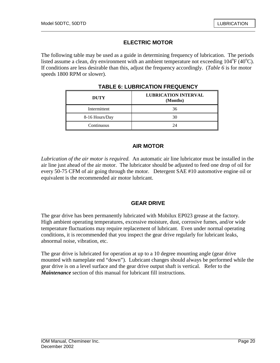## **ELECTRIC MOTOR**

The following table may be used as a guide in determining frequency of lubrication. The periods listed assume a clean, dry environment with an ambient temperature not exceeding  $104^{\circ}F(40^{\circ}C)$ . If conditions are less desirable than this, adjust the frequency accordingly. (*Table 6* is for motor speeds 1800 RPM or slower).

| <b>DUTY</b>    | <b>LUBRICATION INTERVAL</b><br>(Months) |
|----------------|-----------------------------------------|
| Intermittent   | 36                                      |
| 8-16 Hours/Day | 30                                      |
| Continuous     | $2\pi$                                  |

**TABLE 6: LUBRICATION FREQUENCY** 

#### **AIR MOTOR**

*Lubrication of the air motor is required.* An automatic air line lubricator must be installed in the air line just ahead of the air motor. The lubricator should be adjusted to feed one drop of oil for every 50-75 CFM of air going through the motor. Detergent SAE #10 automotive engine oil or equivalent is the recommended air motor lubricant.

## **GEAR DRIVE**

The gear drive has been permanently lubricated with Mobilux EP023 grease at the factory. High ambient operating temperatures, excessive moisture, dust, corrosive fumes, and/or wide temperature fluctuations may require replacement of lubricant. Even under normal operating conditions, it is recommended that you inspect the gear drive regularly for lubricant leaks, abnormal noise, vibration, etc.

The gear drive is lubricated for operation at up to a 10 degree mounting angle (gear drive mounted with nameplate end "down"). Lubricant changes should always be performed while the gear drive is on a level surface and the gear drive output shaft is vertical. Refer to the *Maintenance* section of this manual for lubricant fill instructions.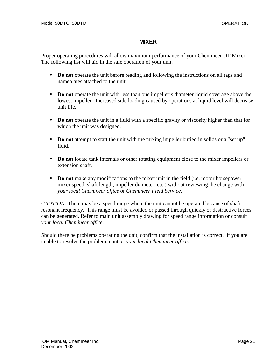#### **MIXER**

Proper operating procedures will allow maximum performance of your Chemineer DT Mixer. The following list will aid in the safe operation of your unit.

- **Do not** operate the unit before reading and following the instructions on all tags and nameplates attached to the unit.
- **Do not** operate the unit with less than one impeller's diameter liquid coverage above the lowest impeller. Increased side loading caused by operations at liquid level will decrease unit life.
- **Do not** operate the unit in a fluid with a specific gravity or viscosity higher than that for which the unit was designed.
- **Do not** attempt to start the unit with the mixing impeller buried in solids or a "set up" fluid.
- **Do not** locate tank internals or other rotating equipment close to the mixer impellers or extension shaft.
- **Do not** make any modifications to the mixer unit in the field (i.e. motor horsepower, mixer speed, shaft length, impeller diameter, etc.) without reviewing the change with *your local Chemineer office* or *Chemineer Field Service*.

*CAUTION:* There may be a speed range where the unit cannot be operated because of shaft resonant frequency. This range must be avoided or passed through quickly or destructive forces can be generated. Refer to main unit assembly drawing for speed range information or consult *your local Chemineer office*.

Should there be problems operating the unit, confirm that the installation is correct. If you are unable to resolve the problem, contact *your local Chemineer office*.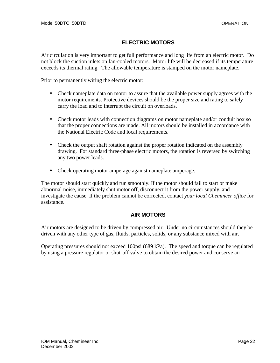## **ELECTRIC MOTORS**

Air circulation is very important to get full performance and long life from an electric motor. Do not block the suction inlets on fan-cooled motors. Motor life will be decreased if its temperature exceeds its thermal rating. The allowable temperature is stamped on the motor nameplate.

Prior to permanently wiring the electric motor:

- Check nameplate data on motor to assure that the available power supply agrees with the motor requirements. Protective devices should be the proper size and rating to safely carry the load and to interrupt the circuit on overloads.
- Check motor leads with connection diagrams on motor nameplate and/or conduit box so that the proper connections are made. All motors should be installed in accordance with the National Electric Code and local requirements.
- Check the output shaft rotation against the proper rotation indicated on the assembly drawing. For standard three-phase electric motors, the rotation is reversed by switching any two power leads.
- Check operating motor amperage against nameplate amperage.

The motor should start quickly and run smoothly. If the motor should fail to start or make abnormal noise, immediately shut motor off, disconnect it from the power supply, and investigate the cause. If the problem cannot be corrected, contact *your local Chemineer office* for assistance.

#### **AIR MOTORS**

Air motors are designed to be driven by compressed air. Under no circumstances should they be driven with any other type of gas, fluids, particles, solids, or any substance mixed with air.

Operating pressures should not exceed 100psi (689 kPa). The speed and torque can be regulated by using a pressure regulator or shut-off valve to obtain the desired power and conserve air.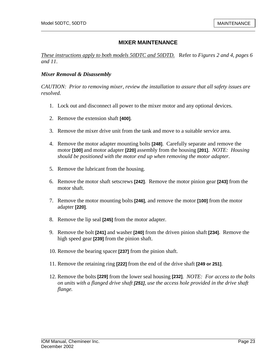*These instructions apply to both models 50DTC and 50DTD.* Refer to *Figures 2 and 4, pages 6 and 11*.

#### *Mixer Removal & Disassembly*

*CAUTION: Prior to removing mixer, review the installation to assure that all safety issues are resolved.* 

- 1. Lock out and disconnect all power to the mixer motor and any optional devices.
- 2. Remove the extension shaft **[400]**.
- 3. Remove the mixer drive unit from the tank and move to a suitable service area.
- 4. Remove the motor adapter mounting bolts **[248]**. Carefully separate and remove the motor **[100]** and motor adapter **[220]** assembly from the housing **[201]**. *NOTE: Housing should be positioned with the motor end up when removing the motor adapter.*
- 5. Remove the lubricant from the housing.
- 6. Remove the motor shaft setscrews **[242]**. Remove the motor pinion gear **[243]** from the motor shaft.
- 7. Remove the motor mounting bolts **[246]**, and remove the motor **[100]** from the motor adapter **[220]**.
- 8. Remove the lip seal **[245]** from the motor adapter.
- 9. Remove the bolt **[241]** and washer **[240]** from the driven pinion shaft **[234]**. Remove the high speed gear **[239]** from the pinion shaft.
- 10. Remove the bearing spacer **[237]** from the pinion shaft.
- 11. Remove the retaining ring **[222]** from the end of the drive shaft **[249 or 251]**.
- 12. Remove the bolts **[229]** from the lower seal housing **[232]**. *NOTE: For access to the bolts on units with a flanged drive shaft [251], use the access hole provided in the drive shaft flange.*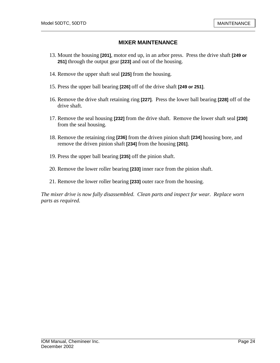- 13. Mount the housing **[201]**, motor end up, in an arbor press. Press the drive shaft **[249 or 251]** through the output gear **[223]** and out of the housing.
- 14. Remove the upper shaft seal **[225]** from the housing.
- 15. Press the upper ball bearing **[226]** off of the drive shaft **[249 or 251]**.
- 16. Remove the drive shaft retaining ring **[227]**. Press the lower ball bearing **[228]** off of the drive shaft.
- 17. Remove the seal housing **[232]** from the drive shaft. Remove the lower shaft seal **[230]** from the seal housing.
- 18. Remove the retaining ring **[236]** from the driven pinion shaft **[234]** housing bore, and remove the driven pinion shaft **[234]** from the housing **[201]**.
- 19. Press the upper ball bearing **[235]** off the pinion shaft.
- 20. Remove the lower roller bearing **[233]** inner race from the pinion shaft.
- 21. Remove the lower roller bearing **[233]** outer race from the housing.

*The mixer drive is now fully disassembled. Clean parts and inspect for wear. Replace worn parts as required.*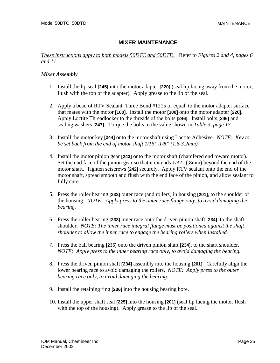*These instructions apply to both models 50DTC and 50DTD.* Refer to *Figures 2 and 4, pages 6 and 11*.

#### *Mixer Assembly*

- 1. Install the lip seal **[245]** into the motor adapter **[220]** (seal lip facing away from the motor, flush with the top of the adapter). Apply grease to the lip of the seal.
- 2. Apply a bead of RTV Sealant, Three Bond #1215 or equal, to the motor adapter surface that mates with the motor **[100]**. Install the motor **[100]** onto the motor adapter **[220]**. Apply Loctite Threadlocker to the threads of the bolts **[246]**. Install bolts **[246]** and sealing washers **[247]**. Torque the bolts to the value shown in *Table 3, page 17*.
- 3. Install the motor key **[244]** onto the motor shaft using Loctite Adhesive. *NOTE: Key to be set back from the end of motor shaft 1/16"-1/8" (1.6-3.2mm).*
- 4. Install the motor pinion gear **[243]** onto the motor shaft (chamfered end toward motor). Set the end face of the pinion gear so that it extends 1/32" (.8mm) beyond the end of the motor shaft. Tighten setscrews **[242]** securely. Apply RTV sealant onto the end of the motor shaft, spread smooth and flush with the end face of the pinion, and allow sealant to fully cure.
- 5. Press the roller bearing **[233]** outer race (and rollers) in housing **[201]**, to the shoulder of the housing. *NOTE: Apply press to the outer race flange only, to avoid damaging the bearing.*
- 6. Press the roller bearing **[233]** inner race onto the driven pinion shaft **[234]**, to the shaft shoulder. *NOTE: The inner race integral flange must be positioned against the shaft shoulder to allow the inner race to engage the bearing rollers when installed.*
- 7. Press the ball bearing **[235]** onto the driven pinion shaft **[234]**, to the shaft shoulder. *NOTE: Apply press to the inner bearing race only, to avoid damaging the bearing.*
- 8. Press the driven pinion shaft **[234]** assembly into the housing **[201]**. Carefully align the lower bearing race to avoid damaging the rollers. *NOTE: Apply press to the outer bearing race only, to avoid damaging the bearing.*
- 9. Install the retaining ring **[236]** into the housing bearing bore.
- 10. Install the upper shaft seal **[225]** into the housing **[201]** (seal lip facing the motor, flush with the top of the housing). Apply grease to the lip of the seal.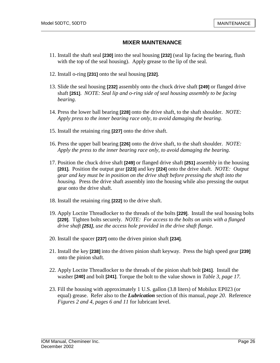- 11. Install the shaft seal **[230]** into the seal housing **[232]** (seal lip facing the bearing, flush with the top of the seal housing). Apply grease to the lip of the seal.
- 12. Install o-ring **[231]** onto the seal housing **[232]**.
- 13. Slide the seal housing **[232]** assembly onto the chuck drive shaft **[249]** or flanged drive shaft **[251]**. *NOTE: Seal lip and o-ring side of seal housing assembly to be facing bearing.*
- 14. Press the lower ball bearing **[228]** onto the drive shaft, to the shaft shoulder. *NOTE: Apply press to the inner bearing race only, to avoid damaging the bearing.*
- 15. Install the retaining ring **[227]** onto the drive shaft.
- 16. Press the upper ball bearing **[226]** onto the drive shaft, to the shaft shoulder. *NOTE: Apply the press to the inner bearing race only, to avoid damaging the bearing.*
- 17. Position the chuck drive shaft **[249]** or flanged drive shaft **[251]** assembly in the housing **[201].** Position the output gear **[223]** and key **[224]** onto the drive shaft. *NOTE: Output gear and key must be in position on the drive shaft before pressing the shaft into the housing.* Press the drive shaft assembly into the housing while also pressing the output gear onto the drive shaft.
- 18. Install the retaining ring **[222]** to the drive shaft.
- 19. Apply Loctite Threadlocker to the threads of the bolts **[229]**. Install the seal housing bolts **[229]**. Tighten bolts securely. *NOTE: For access to the bolts on units with a flanged drive shaft [251], use the access hole provided in the drive shaft flange.*
- 20. Install the spacer **[237]** onto the driven pinion shaft **[234]**.
- 21. Install the key **[238]** into the driven pinion shaft keyway. Press the high speed gear **[239]** onto the pinion shaft.
- 22. Apply Loctite Threadlocker to the threads of the pinion shaft bolt **[241]**. Install the washer **[240]** and bolt **[241]**. Torque the bolt to the value shown in *Table 3, page 17.*
- 23. Fill the housing with approximately 1 U.S. gallon (3.8 liters) of Mobilux EP023 (or equal) grease. Refer also to the *Lubrication* section of this manual, *page 20*. Reference *Figures 2 and 4, pages 6 and 11* for lubricant level.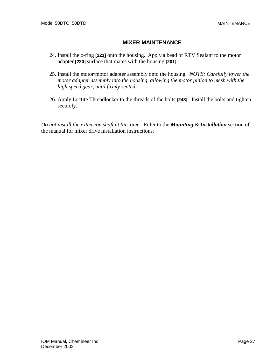- 24. Install the o-ring **[221]** onto the housing. Apply a bead of RTV Sealant to the motor adapter **[220]** surface that mates with the housing **[201]**.
- 25. Install the motor/motor adapter assembly onto the housing. *NOTE: Carefully lower the motor adapter assembly into the housing, allowing the motor pinion to mesh with the high speed gear, until firmly seated.*
- 26. Apply Loctite Threadlocker to the threads of the bolts **[248]**. Install the bolts and tighten securely.

*Do not install the extension shaft at this time.* Refer to the *Mounting & Installation* section of the manual for mixer drive installation instructions.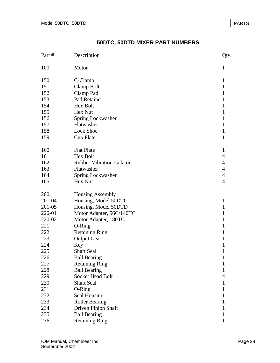# **50DTC, 50DTD MIXER PART NUMBERS**

| Part # | Description                      | Qty.           |
|--------|----------------------------------|----------------|
| 100    | Motor                            | 1              |
| 150    | C-Clamp                          | $\mathbf{1}$   |
| 151    | Clamp Bolt                       | $\mathbf{1}$   |
| 152    | Clamp Pad                        | $\mathbf{1}$   |
| 153    | Pad Retainer                     | 1              |
| 154    | Hex Bolt                         | $\mathbf{1}$   |
| 155    | Hex Nut                          | $\mathbf{1}$   |
| 156    | Spring Lockwasher                | 1              |
| 157    | Flatwasher                       | $\mathbf{1}$   |
| 158    | Lock Shoe                        | $\mathbf{1}$   |
| 159    | <b>Cup Plate</b>                 | $\mathbf{1}$   |
| 160    | <b>Flat Plate</b>                | 1              |
| 161    | Hex Bolt                         | $\overline{4}$ |
| 162    | <b>Rubber Vibration Isolator</b> | $\overline{4}$ |
| 163    | Flatwasher                       | $\overline{4}$ |
| 164    | Spring Lockwasher                | $\overline{4}$ |
| 165    | Hex Nut                          | $\overline{4}$ |
| 200    | <b>Housing Assembly</b>          |                |
| 201-04 | Housing, Model 50DTC             | $\mathbf{1}$   |
| 201-05 | Housing, Model 50DTD             | $\mathbf{1}$   |
| 220-01 | Motor Adapter, 56C/140TC         | 1              |
| 220-02 | Motor Adapter, 180TC             | $\mathbf{1}$   |
| 221    | O-Ring                           | 1              |
| 222    | <b>Retaining Ring</b>            | 1              |
| 223    | <b>Output Gear</b>               | 1              |
| 224    | Key                              | 1              |
| 225    | <b>Shaft Seal</b>                | 1              |
| 226    | <b>Ball Bearing</b>              | 1              |
| 227    | <b>Retaining Ring</b>            | 1              |
| 228    | <b>Ball Bearing</b>              | $\mathbf{1}$   |
| 229    | Socket Head Bolt                 | $\overline{4}$ |
| 230    | <b>Shaft Seal</b>                | $\mathbf{1}$   |
| 231    | O-Ring                           | $\mathbf{1}$   |
| 232    | Seal Housing                     | 1              |
| 233    | <b>Roller Bearing</b>            | $\mathbf{1}$   |
| 234    | <b>Driven Pinion Shaft</b>       | 1              |
| 235    | <b>Ball Bearing</b>              | 1              |
| 236    | <b>Retaining Ring</b>            | 1              |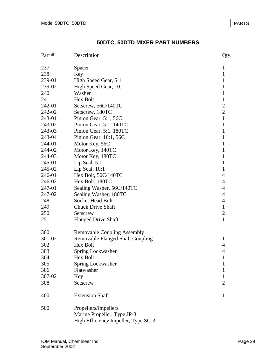# **50DTC, 50DTD MIXER PART NUMBERS**

| Part # | Description                                                                                | Qty.           |
|--------|--------------------------------------------------------------------------------------------|----------------|
| 237    | Spacer                                                                                     | 1              |
| 238    | Key                                                                                        | $\mathbf{1}$   |
| 239-01 | High Speed Gear, 5:1                                                                       | 1              |
| 239-02 | High Speed Gear, 10:1                                                                      | 1              |
| 240    | Washer                                                                                     | $\mathbf{1}$   |
| 241    | Hex Bolt                                                                                   | $\mathbf{1}$   |
| 242-01 | Setscrew, 56C/140TC                                                                        | $\overline{2}$ |
| 242-02 | Setscrew, 180TC                                                                            | $\overline{2}$ |
| 243-01 | Pinion Gear, 5:1, 56C                                                                      | $\mathbf{1}$   |
| 243-02 | Pinion Gear, 5:1, 140TC                                                                    | 1              |
| 243-03 | Pinion Gear, 5:1. 180TC                                                                    | 1              |
| 243-04 | Pinion Gear, 10:1, 56C                                                                     | $\mathbf{1}$   |
| 244-01 | Motor Key, 56C                                                                             | 1              |
| 244-02 | Motor Key, 140TC                                                                           | $\mathbf{1}$   |
| 244-03 | Motor Key, 180TC                                                                           | $\mathbf{1}$   |
| 245-01 | Lip Seal, $5:1$                                                                            | 1              |
| 245-02 | Lip Seal, 10:1                                                                             | $\mathbf{1}$   |
| 246-01 | Hex Bolt, 56C/140TC                                                                        | 4              |
| 246-02 | Hex Bolt, 180TC                                                                            | 4              |
| 247-01 | Sealing Washer, 56C/140TC                                                                  | 4              |
| 247-02 | Sealing Washer, 180TC                                                                      | 4              |
| 248    | Socket Head Bolt                                                                           | $\overline{4}$ |
| 249    | <b>Chuck Drive Shaft</b>                                                                   | $\mathbf{1}$   |
| 250    | Setscrew                                                                                   | $\mathfrak{2}$ |
| 251    | <b>Flanged Drive Shaft</b>                                                                 | $\mathbf{1}$   |
| 300    | <b>Removable Coupling Assembly</b>                                                         |                |
| 301-02 | <b>Removable Flanged Shaft Coupling</b>                                                    | 1              |
| 302    | Hex Bolt                                                                                   | 4              |
| 303    | Spring Lockwasher                                                                          | $\overline{4}$ |
| 304    | Hex Bolt                                                                                   | 1              |
| 305    | Spring Lockwasher                                                                          | 1              |
| 306    | Flatwasher                                                                                 | 1              |
| 307-02 | Key                                                                                        | 1              |
| 308    | Setscrew                                                                                   | 2              |
| 400    | <b>Extension Shaft</b>                                                                     | 1              |
| 500    | Propellers/Impellers<br>Marine Propeller, Type JP-3<br>High Efficiency Impeller, Type SC-3 |                |